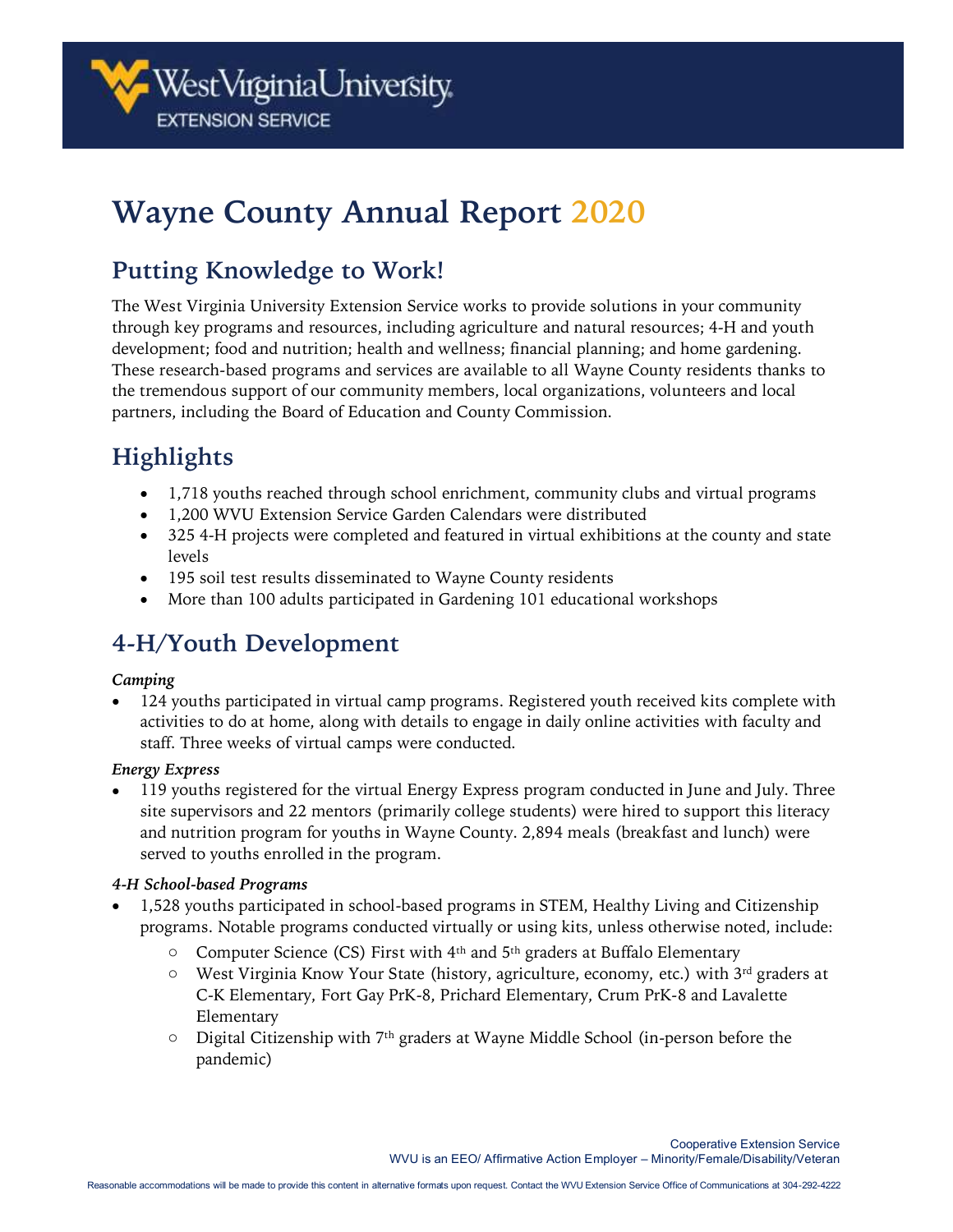

# **Wayne County Annual Report 2020**

## **Putting Knowledge to Work!**

The West Virginia University Extension Service works to provide solutions in your community through key programs and resources, including agriculture and natural resources; 4-H and youth development; food and nutrition; health and wellness; financial planning; and home gardening. These research-based programs and services are available to all Wayne County residents thanks to the tremendous support of our community members, local organizations, volunteers and local partners, including the Board of Education and County Commission.

## **Highlights**

- 1,718 youths reached through school enrichment, community clubs and virtual programs
- 1,200 WVU Extension Service Garden Calendars were distributed
- 325 4-H projects were completed and featured in virtual exhibitions at the county and state levels
- 195 soil test results disseminated to Wayne County residents
- More than 100 adults participated in Gardening 101 educational workshops

## **4-H/Youth Development**

#### *Camping*

• 124 youths participated in virtual camp programs. Registered youth received kits complete with activities to do at home, along with details to engage in daily online activities with faculty and staff. Three weeks of virtual camps were conducted.

#### *Energy Express*

• 119 youths registered for the virtual Energy Express program conducted in June and July. Three site supervisors and 22 mentors (primarily college students) were hired to support this literacy and nutrition program for youths in Wayne County. 2,894 meals (breakfast and lunch) were served to youths enrolled in the program.

#### *4-H School-based Programs*

- 1,528 youths participated in school-based programs in STEM, Healthy Living and Citizenship programs. Notable programs conducted virtually or using kits, unless otherwise noted, include:
	- $\circ$  Computer Science (CS) First with 4<sup>th</sup> and 5<sup>th</sup> graders at Buffalo Elementary
	- $\circ$  West Virginia Know Your State (history, agriculture, economy, etc.) with 3<sup>rd</sup> graders at C-K Elementary, Fort Gay PrK-8, Prichard Elementary, Crum PrK-8 and Lavalette Elementary
	- $\circ$  Digital Citizenship with 7<sup>th</sup> graders at Wayne Middle School (in-person before the pandemic)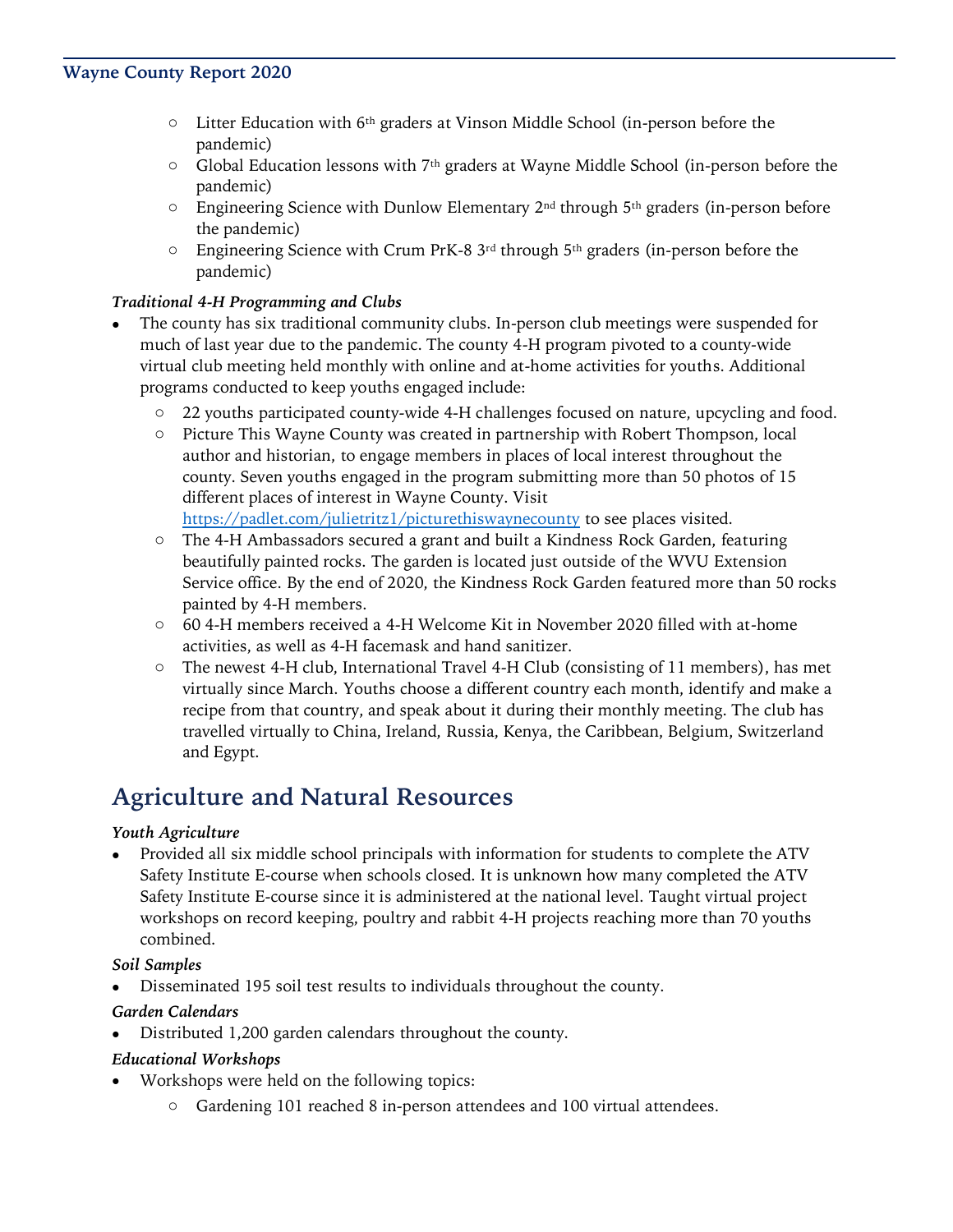- $\circ$  Litter Education with 6<sup>th</sup> graders at Vinson Middle School (in-person before the pandemic)
- $\circ$  Global Education lessons with 7<sup>th</sup> graders at Wayne Middle School (in-person before the pandemic)
- $\circ$  Engineering Science with Dunlow Elementary 2<sup>nd</sup> through 5<sup>th</sup> graders (in-person before the pandemic)
- $\circ$  Engineering Science with Crum PrK-8 3<sup>rd</sup> through 5<sup>th</sup> graders (in-person before the pandemic)

#### *Traditional 4-H Programming and Clubs*

- The county has six traditional community clubs. In-person club meetings were suspended for much of last year due to the pandemic. The county 4-H program pivoted to a county-wide virtual club meeting held monthly with online and at-home activities for youths. Additional programs conducted to keep youths engaged include:
	- o 22 youths participated county-wide 4-H challenges focused on nature, upcycling and food.
	- o Picture This Wayne County was created in partnership with Robert Thompson, local author and historian, to engage members in places of local interest throughout the county. Seven youths engaged in the program submitting more than 50 photos of 15 different places of interest in Wayne County. Visit <https://padlet.com/julietritz1/picturethiswaynecounty> to see places visited.
	- o The 4-H Ambassadors secured a grant and built a Kindness Rock Garden, featuring beautifully painted rocks. The garden is located just outside of the WVU Extension Service office. By the end of 2020, the Kindness Rock Garden featured more than 50 rocks painted by 4-H members.
	- o 60 4-H members received a 4-H Welcome Kit in November 2020 filled with at-home activities, as well as 4-H facemask and hand sanitizer.
	- o The newest 4-H club, International Travel 4-H Club (consisting of 11 members), has met virtually since March. Youths choose a different country each month, identify and make a recipe from that country, and speak about it during their monthly meeting. The club has travelled virtually to China, Ireland, Russia, Kenya, the Caribbean, Belgium, Switzerland and Egypt.

## **Agriculture and Natural Resources**

#### *Youth Agriculture*

• Provided all six middle school principals with information for students to complete the ATV Safety Institute E-course when schools closed. It is unknown how many completed the ATV Safety Institute E-course since it is administered at the national level. Taught virtual project workshops on record keeping, poultry and rabbit 4-H projects reaching more than 70 youths combined.

#### *Soil Samples*

• Disseminated 195 soil test results to individuals throughout the county.

#### *Garden Calendars*

• Distributed 1,200 garden calendars throughout the county.

#### *Educational Workshops*

- Workshops were held on the following topics:
	- o Gardening 101 reached 8 in-person attendees and 100 virtual attendees.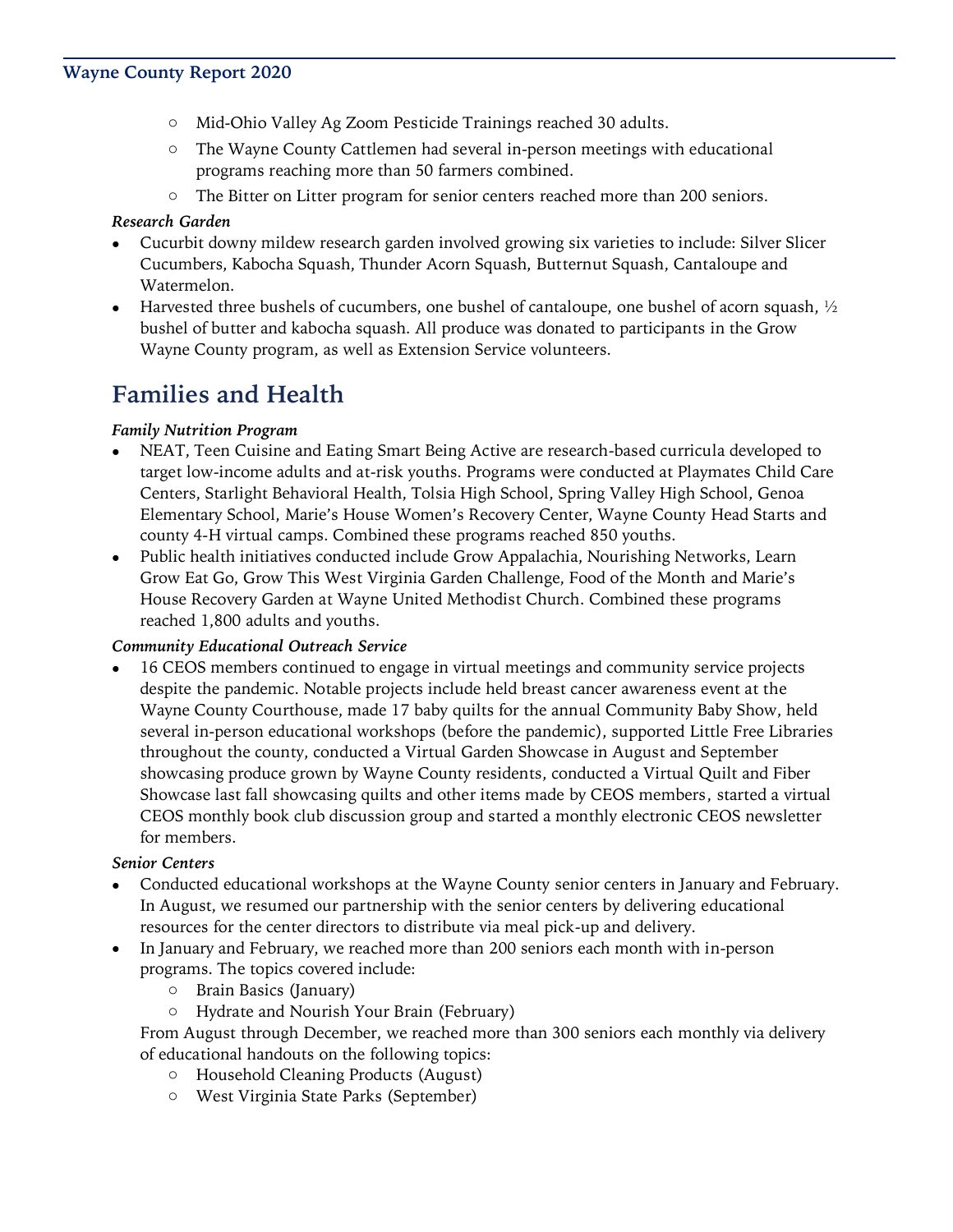- o Mid-Ohio Valley Ag Zoom Pesticide Trainings reached 30 adults.
- o The Wayne County Cattlemen had several in-person meetings with educational programs reaching more than 50 farmers combined.
- o The Bitter on Litter program for senior centers reached more than 200 seniors.

#### *Research Garden*

- Cucurbit downy mildew research garden involved growing six varieties to include: Silver Slicer Cucumbers, Kabocha Squash, Thunder Acorn Squash, Butternut Squash, Cantaloupe and Watermelon.
- Harvested three bushels of cucumbers, one bushel of cantaloupe, one bushel of acorn squash,  $\frac{1}{2}$ bushel of butter and kabocha squash. All produce was donated to participants in the Grow Wayne County program, as well as Extension Service volunteers.

## **Families and Health**

#### *Family Nutrition Program*

- NEAT, Teen Cuisine and Eating Smart Being Active are research-based curricula developed to target low-income adults and at-risk youths. Programs were conducted at Playmates Child Care Centers, Starlight Behavioral Health, Tolsia High School, Spring Valley High School, Genoa Elementary School, Marie's House Women's Recovery Center, Wayne County Head Starts and county 4-H virtual camps. Combined these programs reached 850 youths.
- Public health initiatives conducted include Grow Appalachia, Nourishing Networks, Learn Grow Eat Go, Grow This West Virginia Garden Challenge, Food of the Month and Marie's House Recovery Garden at Wayne United Methodist Church. Combined these programs reached 1,800 adults and youths.

#### *Community Educational Outreach Service*

• 16 CEOS members continued to engage in virtual meetings and community service projects despite the pandemic. Notable projects include held breast cancer awareness event at the Wayne County Courthouse, made 17 baby quilts for the annual Community Baby Show, held several in-person educational workshops (before the pandemic), supported Little Free Libraries throughout the county, conducted a Virtual Garden Showcase in August and September showcasing produce grown by Wayne County residents, conducted a Virtual Quilt and Fiber Showcase last fall showcasing quilts and other items made by CEOS members, started a virtual CEOS monthly book club discussion group and started a monthly electronic CEOS newsletter for members.

#### *Senior Centers*

- Conducted educational workshops at the Wayne County senior centers in January and February. In August, we resumed our partnership with the senior centers by delivering educational resources for the center directors to distribute via meal pick-up and delivery.
- In January and February, we reached more than 200 seniors each month with in-person programs. The topics covered include:
	- o Brain Basics (January)
	- o Hydrate and Nourish Your Brain (February)

From August through December, we reached more than 300 seniors each monthly via delivery of educational handouts on the following topics:

- o Household Cleaning Products (August)
- o West Virginia State Parks (September)